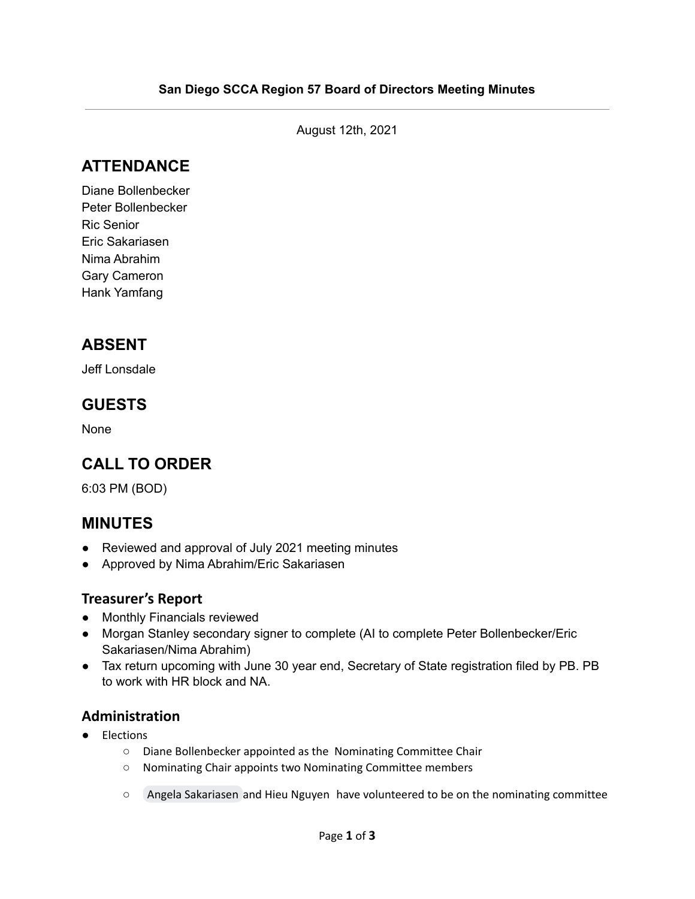August 12th, 2021

## **ATTENDANCE**

Diane Bollenbecker Peter Bollenbecker Ric Senior Eric Sakariasen Nima Abrahim Gary Cameron Hank Yamfang

## **ABSENT**

Jeff Lonsdale

### **GUESTS**

None

## **CALL TO ORDER**

6:03 PM (BOD)

### **MINUTES**

- Reviewed and approval of July 2021 meeting minutes
- Approved by Nima Abrahim/Eric Sakariasen

#### **Treasurer's Report**

- Monthly Financials reviewed
- Morgan Stanley secondary signer to complete (AI to complete Peter Bollenbecker/Eric Sakariasen/Nima Abrahim)
- Tax return upcoming with June 30 year end, Secretary of State registration filed by PB. PB to work with HR block and NA.

#### **Administration**

- Elections
	- Diane Bollenbecker appointed as the Nominating Committee Chair
	- Nominating Chair appoints two Nominating Committee members
	- Angela [Sakariasen](mailto:angela@e-n-a.net) and Hieu Nguyen have volunteered to be on the nominating committee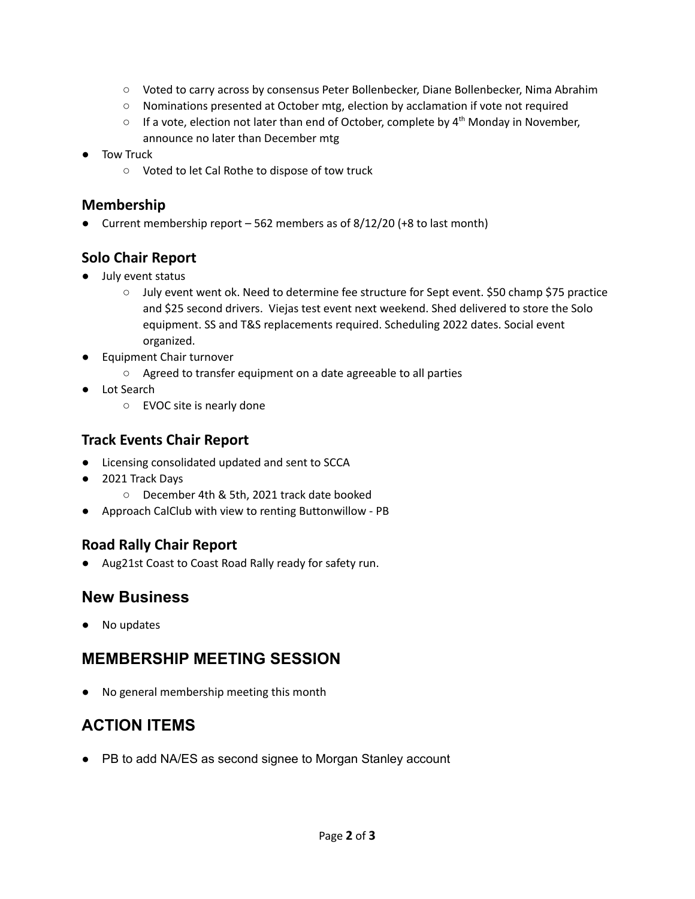- Voted to carry across by consensus Peter Bollenbecker, Diane Bollenbecker, Nima Abrahim
- Nominations presented at October mtg, election by acclamation if vote not required
- $\circ$  If a vote, election not later than end of October, complete by  $4^{th}$  Monday in November, announce no later than December mtg
- Tow Truck
	- Voted to let Cal Rothe to dispose of tow truck

#### **Membership**

● Current membership report – 562 members as of 8/12/20 (+8 to last month)

### **Solo Chair Report**

- July event status
	- July event went ok. Need to determine fee structure for Sept event. \$50 champ \$75 practice and \$25 second drivers. Viejas test event next weekend. Shed delivered to store the Solo equipment. SS and T&S replacements required. Scheduling 2022 dates. Social event organized.
- Equipment Chair turnover
	- Agreed to transfer equipment on a date agreeable to all parties
- Lot Search
	- EVOC site is nearly done

### **Track Events Chair Report**

- **●** Licensing consolidated updated and sent to SCCA
- **●** 2021 Track Days
	- **○** December 4th & 5th, 2021 track date booked
- Approach CalClub with view to renting Buttonwillow PB

#### **Road Rally Chair Report**

● Aug21st Coast to Coast Road Rally ready for safety run.

## **New Business**

No updates

## **MEMBERSHIP MEETING SESSION**

No general membership meeting this month

# **ACTION ITEMS**

● PB to add NA/ES as second signee to Morgan Stanley account